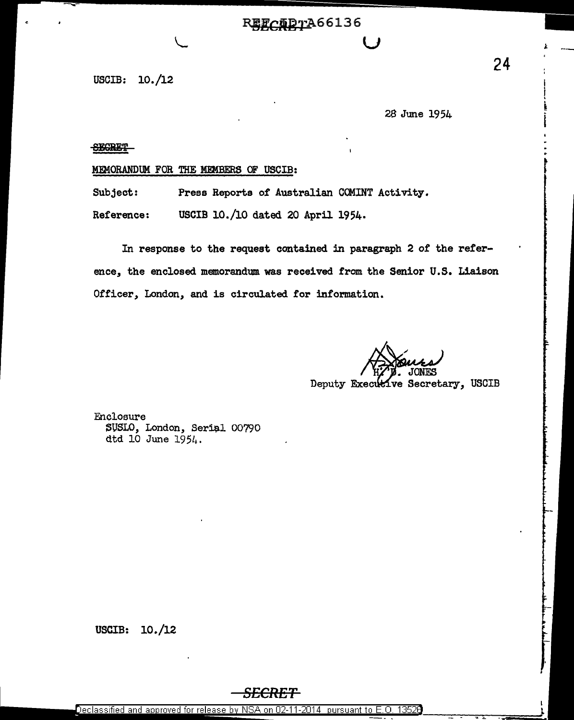## REFCADTA66136

USCIB: 10./12

28 June 1954

**SEGRET** 

MEMORANDUM FOR THE MEMBERS OF USCIB:

Subject: Press Reports of Australian COMINT Activity.

Reference: USCIB 10./10 dated 20 April 1954.

In response to the request contained in paragraph 2 of the reference, the enclosed memorandum was received from the Senior U.S. Liaison Officer, London, and is circulated for information.

Deputy Executive Secretary, USCIB

Enclosure SUSLO, London, Serial 00790 dtd 10 June  $1954.$ 

USCIB: 10./12

Declassified and approved for release by NSA on 02-11-2014 pursuant to E.O. 13526